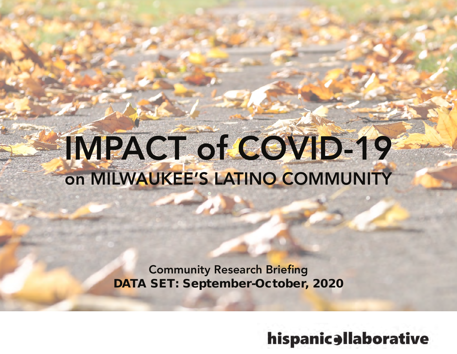# IMPACT of COVID-19 on MILWAUKEE'S LATINO COMMUNITY

Community Research Briefing DATA SET: September-October, 2020

hispanicellaborative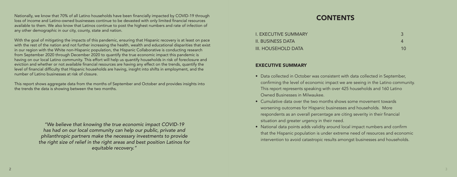Nationally, we know that 70% of all Latino households have been financially impacted by COVID-19 through loss of income and Latino-owned businesses continue to be devasted with only limited financial resources available to them. We also know that Latinos continue to post the highest numbers and rate of infection of any other demographic in our city, county, state and nation.

With the goal of mitigating the impacts of this pandemic, ensuring that Hispanic recovery is at least on pace with the rest of the nation and not further increasing the health, wealth and educational disparities that exist in our region with the White non-Hispanic population, the Hispanic Collaborative is conducting research from September 2020 through December 2020 to quantify the true economic impact this pandemic is having on our local Latino community. This effort will help us quantify households in risk of foreclosure and eviction and whether or not available financial resources are having any effect on the trends, quantify the level of financial difficulty that Hispanic households are having, insight into shifts in employment, and the number of Latino businesses at risk of closure.

| <b>I. EXECUTIVE SUMMARY</b> |     |
|-----------------------------|-----|
| <b>II. BUSINESS DATA</b>    |     |
| III. HOUSEHOLD DATA         | 1() |

This report shows aggregate data from the months of September and October and provides insights into the trends the data is showing between the two months.

> *"We believe that knowing the true economic impact COVID-19 has had on our local community can help our public, private and philanthropic partners make the necessary investments to provide the right size of relief in the right areas and best position Latinos for equitable recovery."*

#### EXECUTIVE SUMMARY

- Data collected in October was consistent with data collected in September, confirming the level of economic impact we are seeing in the Latino community. This report represents speaking with over 425 households and 160 Latino
- Owned Businesses in Milwaukee.
- Cumulative data over the two months shows some movement towards worsening outcomes for Hispanic businesses and households. More respondents as an overall percentage are citing severity in their financial situation and greater urgency in their need.
- National data points adds validity around local impact numbers and confirm that the Hispanic population is under extreme need of resources and economic intervention to avoid catastropic results amongst businesses and households.

# CONTENTS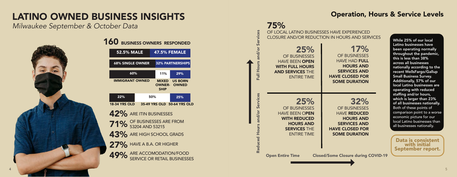# LATINO OWNED BUSINESS INSIGHTS

*Milwaukee September & October Data*



# 160 BUSINESS OWNERS RESPONDED

| <b>52.5% MALE</b>                         |     |     | <b>47.5% FEMALE</b>                |                         |  |
|-------------------------------------------|-----|-----|------------------------------------|-------------------------|--|
| <b>68% SINGLE OWNER</b>                   |     |     |                                    | <b>32% PARTNERSHIPS</b> |  |
|                                           | 60% |     | 11%                                | 29%                     |  |
| <b>IMMIGRANT OWNED</b>                    |     |     | <b>OWNER- OWNED</b><br><b>SHIP</b> | <b>MIXED US BORN</b>    |  |
| 22%                                       |     | 50% |                                    | 25%                     |  |
| 18-34 YRS OLD 35-49 YRS OLD 50-64 YRS OLD |     |     |                                    |                         |  |
| 42% ARE ITIN BUSINESSES                   |     |     |                                    |                         |  |
| <b>71%</b> OF BUSINESSES ARE FROM         |     |     |                                    |                         |  |
| 43% ARE HIGH SCHOOL GRADS                 |     |     |                                    |                         |  |
| $27\%$ HAVE A B.A. OR HIGHER              |     |     |                                    |                         |  |
| 49% ARE ACCOMODATION/FOOD                 |     |     |                                    |                         |  |

| 160 BUSINESS OWNERS RESPONDED<br><b>52.5% MALE</b><br><b>47.5% FEMALE</b><br><b>68% SINGLE OWNER</b><br>32% PARTNERSHIPS<br>60%<br>11%<br>29%<br><b>IMMIGRANT OWNED</b><br><b>MIXED US BORN</b><br><b>OWNER- OWNED</b><br><b>SHIP</b><br>50%<br>22%<br>25% | <b>CLOSURE AND/OR REDUCTION IN HOURS AND SERVICES</b><br>While 25% of our local<br>Latino businesses have<br>17%<br>25%<br>been operating normally<br>throughout the pandemic,<br>OF BUSINESSES<br>OF BUSINESSES<br>this is less than 38%<br><b>HAVE HAD FULL</b><br><b>HAVE BEEN OPEN</b><br>across all businesses<br><b>HOURS AND</b><br>Full Hou<br><b>WITH FULL HOURS</b><br>nationally according to the<br><b>SERVICES AND</b><br><b>AND SERVICES THE</b><br>recent WellsFargo/Gallup<br><b>Small Business Survey.</b><br><b>HAVE CLOSED FOR</b><br><b>ENTIRE TIME</b><br>Additionally, 57% of our<br><b>SOME DURATION</b><br>local Latino businesses are<br>operating with reduced<br>staffing and/or hours,<br>which is larger than 23% |
|------------------------------------------------------------------------------------------------------------------------------------------------------------------------------------------------------------------------------------------------------------|------------------------------------------------------------------------------------------------------------------------------------------------------------------------------------------------------------------------------------------------------------------------------------------------------------------------------------------------------------------------------------------------------------------------------------------------------------------------------------------------------------------------------------------------------------------------------------------------------------------------------------------------------------------------------------------------------------------------------------------------|
| <b>18-34 YRS OLD</b><br>35-49 YRS OLD 50-64 YRS OLD<br>42% ARE ITIN BUSINESSES<br><b>71%</b> OF BUSINESSES ARE FROM<br>43% ARE HIGH SCHOOL GRADS<br>27% HAVE A B.A. OR HIGHER<br>49% ARE ACCOMODATION/FOOD SERVICE OR RETAIL BUSINESSES                    | 25%<br>32%<br>of all businesses nationally.<br>Both of these points of<br>OF BUSINESSES<br>OF BUSINESSES<br>comparison point to a worse<br><b>HAVE BEEN OPEN</b><br><b>HAVE REDUCED</b><br>economic picture for our<br><b>WITH REDUCED</b><br><b>HOURS AND</b><br>local Latino businesses than<br><b>HOURS AND</b><br><b>SERVICES AND</b><br>all businesses nationally.<br><b>HAVE CLOSED FOR</b><br><b>SERVICES THE</b><br><b>ENTIRE TIME</b><br><b>SOME DURATION</b><br>Data is consistent<br>with initial<br>September report.<br><b>Closed/Some Closure during COVID-19</b><br><b>Open Entire Time</b>                                                                                                                                     |

75% OF LOCAL LATINO BUSINESSES HAVE EXPERIENCED CLOSURE AND/OR REDUCTION IN HOURS AND SERVICES While 25% of our local

## Operation, Hours & Service Levels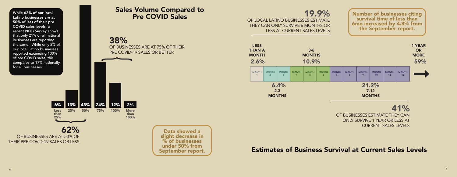6% 13% 43% 24% 12% 2%

62%

 $\overline{\phantom{m}}$ 

OF BUSINESSES ARE AT 50% OF

THEIR PRE COVID-19 SALES OR LESS

38% OF BUSINESSES ARE AT 75% OF THEIR PRE COVID-19 SALES OR BETTER

Less than 25%

25% 50% 75% 100% More

than 100%

 $\overline{\phantom{m}}$ 

MONTH 1

2.6% LESS THAN A MONTH



## 19.9%

OF LOCAL LATINO BUSINESSES ESTIMATE THEY CAN ONLY SURVIVE 6 MONTHS OR LESS AT CURRENT SALES LEVELS

Data showed a slight decrease in % of businesses under 50% from September report.

While 62% of our local Latino businesses are at 50% of less of their pre COVID sales levels, a recent NFIB Survey shows that only 21% of all national businesses are reporting the same. While only 2% of our local Latino businesses reported exceeding 100% of pre COVID sales, this compares to 17% nationally for all businesses.

Number of businesses citing survival time of less than 6mo increased by 4.8% from the September report.

### Sales Volume Compared to Pre COVID Sales

## Estimates of Business Survival at Current Sales Levels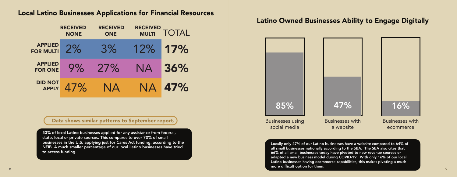|                                  | <b>RECEIVED</b><br><b>NONE</b> | <b>RECEIVED</b><br><b>ONE</b> | <b>RECEIVED</b><br><b>MULTI</b> | <b>TOTAL</b> |
|----------------------------------|--------------------------------|-------------------------------|---------------------------------|--------------|
| <b>APPLIED<br/>FOR MULTI</b>     | $2\%$                          | 3%                            | 12%                             | 17%          |
| <b>APPLIED</b><br><b>FOR ONE</b> | 9%                             | 27%                           | NA                              | 36%          |
| DID NOT                          | 47%                            | <b>NA</b>                     | <b>NA</b>                       | 47%          |

53% of local Latino businesses applied for any assistance from federal, state, local or private sources. This compares to over 70% of small businesses in the U.S. applying just for Cares Act funding, according to the NFIB. A much smaller percentage of our local Latino businesses have tried to access funding.

### Local Latino Businesses Applications for Financial Resources

 $8$ Locally only 47% of our Latino businesses have a website compared to 64% of all small businesses nationally according to the SBA. The SBA also cites that 66% of all small businesses today have pivoted to new revenue sources or adapted a new business model during COVID-19. With only 16% of our local Latino businesses having ecommerce capabilities, this makes pivoting a much more difficult option for them.

## Latino Owned Businesses Ability to Engage Digitally



Data shows similar patterns to September report.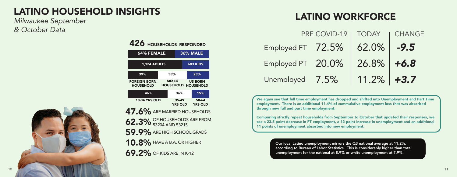# LATINO HOUSEHOLD INSIGHTS

*Milwaukee September & October Data*

# 426 HOUSEHOLDS RESPONDED



|                      | PRE COVID-19 | <b>TODAY</b>  | <b>CHANGE</b>      |
|----------------------|--------------|---------------|--------------------|
| Employed FT $72.5\%$ |              | $  62.0\%$    | $\vert -9.5 \vert$ |
| Employed PT 20.0%    |              | $26.8\%$ +6.8 |                    |
| Unemployed 7.5%      |              | $11.2\%$ +3.7 |                    |

We again see that full time employment has dropped and shifted into Unemployment and Part Time employment. There is an additional 11.4% of cummulative employment loss that was absorbed through new full and part time employment.

Comparing strictly repeat households from September to October that updated their responses, we see a 23.5 point decrease in FT employment, a 12 point increase in unemployment and an additional 11 points of unemployment absorbed into new employment.

# LATINO WORKFORCE



Our local Latino unemployment mirrors the Q3 national average at 11.2%, according to Bureau of Labor Statistics. This is considerably higher than total unemployment for the national at 8.9% or white unemployment at 7.9%.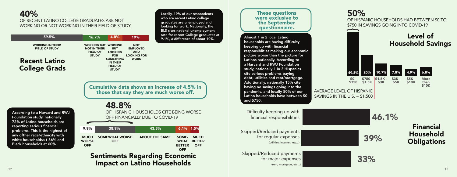## 50%

OF HISPANIC HOUSEHOLDS HAD BETWEEN \$0 TO \$750 IN SAVINGS GOING INTO COVID-19

### 40% OF RECENT LATINO COLLEGE GRADUATES ARE NOT WORKING OR NOT WORKING IN THEIR FIELD OF STUDY

| 9.9%                                      | 38.9%                               | 43.5%                 | $1.5%$ 1.5%                                                                                       |
|-------------------------------------------|-------------------------------------|-----------------------|---------------------------------------------------------------------------------------------------|
| <b>MUCH</b><br><b>WORSE</b><br><b>OFF</b> | <b>SOMEWHAT WORSE</b><br><b>OFF</b> | <b>ABOUT THE SAME</b> | SOME-<br><b>MUCH</b><br><b>WHAT</b><br><b>BETTER</b><br><b>BETTER</b><br><b>OFF</b><br><b>OFF</b> |
|                                           |                                     | ∎∙                    |                                                                                                   |

# 48.8%

OF HISPANIC HOUSEHOLDS CITE BEING WORSE OFF FINANCIALLY DUE TO COVID-19



Locally, 19% of our respondents who are recent Latino college graduates are unemployed and looking for work. Nationally, the BLS cites national unemployment rate for recent College graduates at 9.1%, a difference of about 10%.



| 59.5%                                            | 16.7%                                                                        | 4.8%                                                                   | 19%                                                               |
|--------------------------------------------------|------------------------------------------------------------------------------|------------------------------------------------------------------------|-------------------------------------------------------------------|
| <b>WORKING IN THEIR</b><br><b>FIELD OF STUDY</b> | <b>WORKING BUT</b><br><b>NOT IN THEIR</b><br><b>FIELD OF</b><br><b>STUDY</b> | <b>WORKING</b><br><b>BUT</b><br><b>LOOKING</b><br><b>FOR</b>           | <b>NOT</b><br><b>EMPLOYED</b><br><b>AND</b><br><b>LOOKING FOR</b> |
| <b>Recent Latino</b><br><b>College Grads</b>     |                                                                              | <b>SOMETHING</b><br><b>IN THEIR</b><br><b>FIELD OF</b><br><b>STUDY</b> | <b>WORK</b>                                                       |

According to a Harvard and RWJ Foundation study, nationally 72% of Latino households are reporting serious financial problems. This is the highest of any ofther race/ethnicity with white householdsa t 36% and Black households at 60%.



Cumulative data shows an increase of 4.5% in those that say they are much worse off.

#### These questions were exclusive to the September questionnaire.

Almost 1 in 2 local Latino households are having difficulty keeping up with financial responsiblities making our economic picture worse than the picture for Latinos nationally. According to a Harvard and RWJ Foundation study, nationally 1 in 3 Hispanics cite serious problems paying debt, utilities and rent/mortgage. Additionally, nationally 15% cite having no savings going into the pandemic. and locally 50% of our Latino households have between \$0 and \$750.

Sentiments Regarding Economic Impact on Latino Households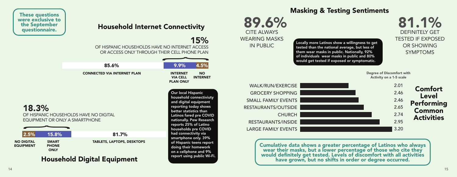15% OF HISPANIC HOUSEHOLDS HAVE NO INTERNET ACCESS OR ACCESS ONLY THROUGH THEIR CELL PHONE PLAN



81.1% DEFINITELY GET TESTED IF EXPOSED OR SHOWING SYMPTOMS

Degree of Discomfort with Activity on a 1-5 scale

#### These questions were exclusive to the September questionnaire.

|                                                                                   |                                                                              | 85.6%                                                                                                                                                           | 9.9%                                                   | 4.5%                                                                      |
|-----------------------------------------------------------------------------------|------------------------------------------------------------------------------|-----------------------------------------------------------------------------------------------------------------------------------------------------------------|--------------------------------------------------------|---------------------------------------------------------------------------|
|                                                                                   |                                                                              | <b>CONNECTED VIA INTERNET PLAN</b>                                                                                                                              | <b>INTERNET</b><br><b>VIA CELL</b><br><b>PLAN ONLY</b> | <b>NO</b><br><b>INTERNET</b>                                              |
| 18.3%<br>OF HISPANIC HOUSEHOLDS HAVE NO DIGITAL<br>EQUIPMENT OR ONLY A SMARTPHONE | <b>Our local Hispanic</b><br>better statistics than<br>reports 25% of Latino | household connectiviuty<br>and digital equipment<br>reporting today shows<br><b>Latinos fared pre COVID</b><br>nationally. Pew Research<br>households pre COVID |                                                        |                                                                           |
| 2.5%                                                                              | 15.8%                                                                        | 81.7%                                                                                                                                                           | had connectivity via<br>smartphone only. 39%           |                                                                           |
| <b>NO DIGITAL</b><br><b>EQUIPMENT</b>                                             | <b>SMART</b><br><b>PHONE</b><br><b>ONLY</b>                                  | <b>TABLETS, LAPTOPS, DESKTOPS</b>                                                                                                                               |                                                        | of Hispanic teens report<br>doing their homework<br>on a cellphone and 9% |
|                                                                                   |                                                                              | <b>Household Digital Equipment</b>                                                                                                                              |                                                        | report using public Wi-Fi.                                                |



Locally more Latinos show a willingness to get tested than the national average, but less of them wear masks in public. Nationally, 92% of individuals wear masks in public and 80% would get tested if exposed or symptomatic.

Cumulative data shows a greater percentage of Latinos who always wear their masks, but a lower percentage of those who cite they would definitely get tested. Levels of discomfort with all activities have grown, but no shifts in order or degree occurred.

# Household Internet Connectivity

# Masking & Testing Sentiments